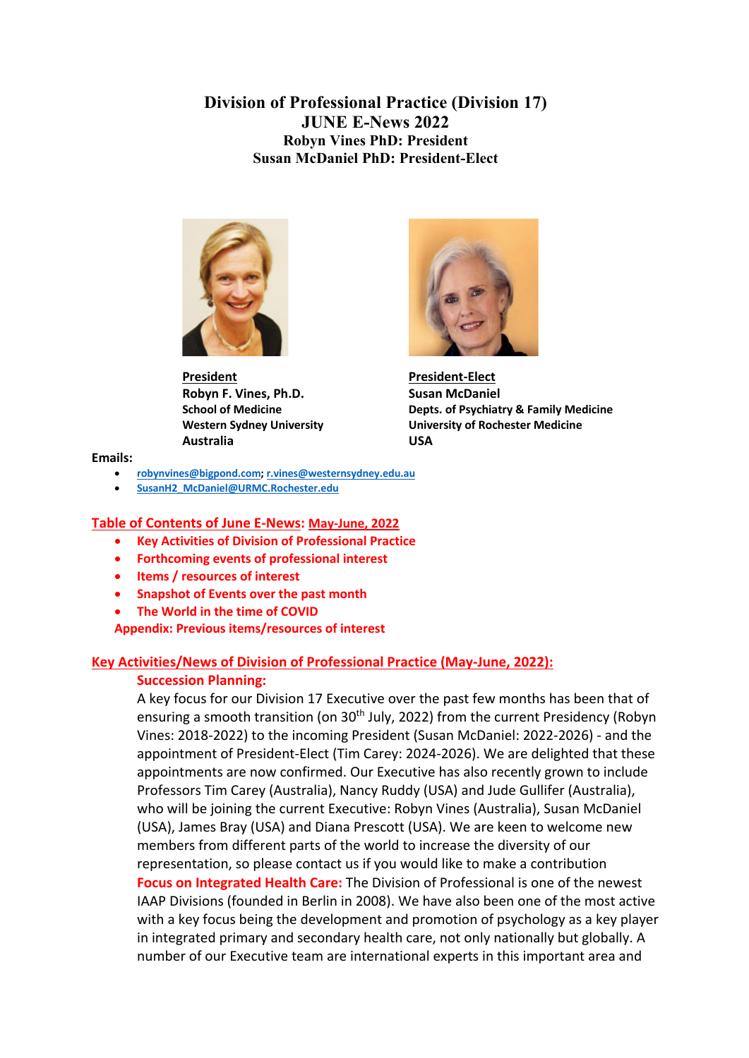**Division of Professional Practice (Division 17) JUNE E-News 2022 Robyn Vines PhD: President Susan McDaniel PhD: President-Elect**



**President President-Elect Robyn F. Vines, Ph.D.** Susan McDaniel **Australia USA**



**School of Medicine Depts. of Psychiatry & Family Medicine Western Sydney University University of Rochester Medicine**

**Emails:**

- **robynvines@bigpond.com; r.vines@westernsydney.edu.au**
- **SusanH2\_McDaniel@URMC.Rochester.edu**

#### **Table of Contents of June E-News: May-June, 2022**

- **Key Activities of Division of Professional Practice**
- **Forthcoming events of professional interest**
- **Items / resources of interest**
- **Snapshot of Events over the past month**
- **The World in the time of COVID**

**Appendix: Previous items/resources of interest**

### **Key Activities/News of Division of Professional Practice (May-June, 2022):**

### **Succession Planning:**

A key focus for our Division 17 Executive over the past few months has been that of ensuring a smooth transition (on 30<sup>th</sup> July, 2022) from the current Presidency (Robyn Vines: 2018-2022) to the incoming President (Susan McDaniel: 2022-2026) - and the appointment of President-Elect (Tim Carey: 2024-2026). We are delighted that these appointments are now confirmed. Our Executive has also recently grown to include Professors Tim Carey (Australia), Nancy Ruddy (USA) and Jude Gullifer (Australia), who will be joining the current Executive: Robyn Vines (Australia), Susan McDaniel (USA), James Bray (USA) and Diana Prescott (USA). We are keen to welcome new members from different parts of the world to increase the diversity of our representation, so please contact us if you would like to make a contribution **Focus on Integrated Health Care:** The Division of Professional is one of the newest IAAP Divisions (founded in Berlin in 2008). We have also been one of the most active with a key focus being the development and promotion of psychology as a key player in integrated primary and secondary health care, not only nationally but globally. A number of our Executive team are international experts in this important area and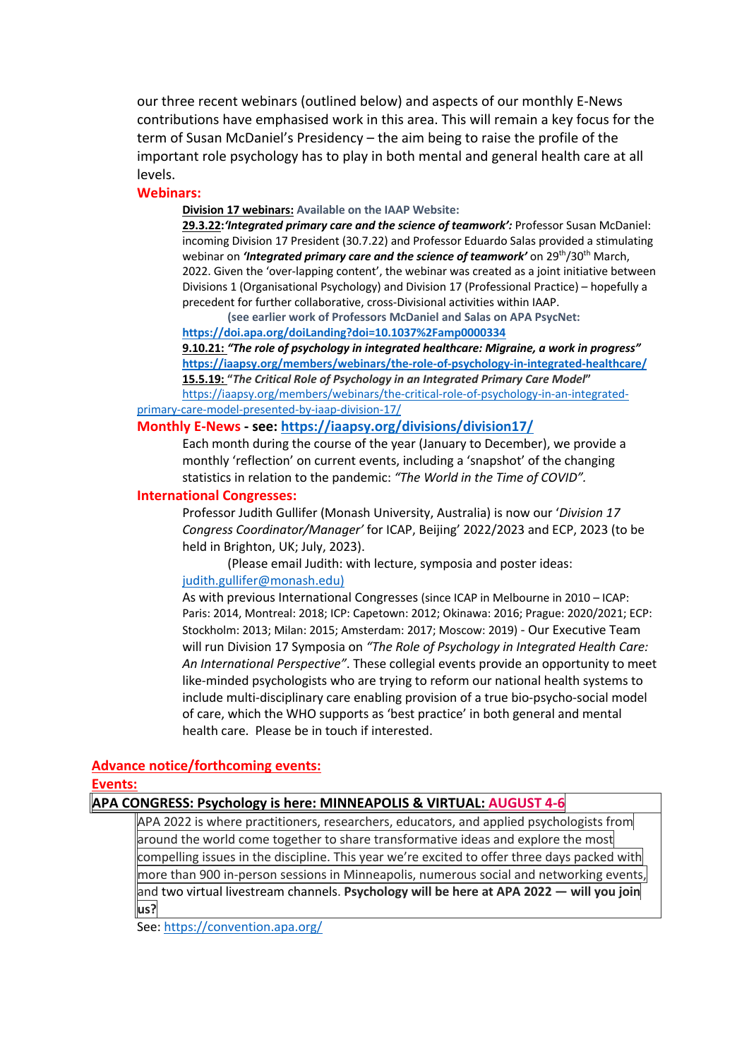our three recent webinars (outlined below) and aspects of our monthly E-News contributions have emphasised work in this area. This will remain a key focus for the term of Susan McDaniel's Presidency – the aim being to raise the profile of the important role psychology has to play in both mental and general health care at all levels.

#### **Webinars:**

**Division 17 webinars: Available on the IAAP Website:** 

**29.3.22:***'Integrated primary care and the science of teamwork':* Professor Susan McDaniel: incoming Division 17 President (30.7.22) and Professor Eduardo Salas provided a stimulating webinar on *'Integrated primary care and the science of teamwork'* on 29<sup>th</sup>/30<sup>th</sup> March, 2022. Given the 'over-lapping content', the webinar was created as a joint initiative between Divisions 1 (Organisational Psychology) and Division 17 (Professional Practice) – hopefully a precedent for further collaborative, cross-Divisional activities within IAAP.

**(see earlier work of Professors McDaniel and Salas on APA PsycNet:** 

**https://doi.apa.org/doiLanding?doi=10.1037%2Famp0000334 9.10.21:** *"The role of psychology in integrated healthcare: Migraine, a work in progress"*  **https://iaapsy.org/members/webinars/the-role-of-psychology-in-integrated-healthcare/ 15.5.19: "***The Critical Role of Psychology in an Integrated Primary Care Model***"**  https://iaapsy.org/members/webinars/the-critical-role-of-psychology-in-an-integrated-

#### primary-care-model-presented-by-iaap-division-17/

#### **Monthly E-News - see: https://iaapsy.org/divisions/division17/**

Each month during the course of the year (January to December), we provide a monthly 'reflection' on current events, including a 'snapshot' of the changing statistics in relation to the pandemic: *"The World in the Time of COVID".*

#### **International Congresses:**

Professor Judith Gullifer (Monash University, Australia) is now our '*Division 17 Congress Coordinator/Manager'* for ICAP, Beijing' 2022/2023 and ECP, 2023 (to be held in Brighton, UK; July, 2023).

(Please email Judith: with lecture, symposia and poster ideas: judith.gullifer@monash.edu)

As with previous International Congresses (since ICAP in Melbourne in 2010 – ICAP: Paris: 2014, Montreal: 2018; ICP: Capetown: 2012; Okinawa: 2016; Prague: 2020/2021; ECP: Stockholm: 2013; Milan: 2015; Amsterdam: 2017; Moscow: 2019) - Our Executive Team will run Division 17 Symposia on *"The Role of Psychology in Integrated Health Care: An International Perspective"*. These collegial events provide an opportunity to meet like-minded psychologists who are trying to reform our national health systems to include multi-disciplinary care enabling provision of a true bio-psycho-social model of care, which the WHO supports as 'best practice' in both general and mental health care. Please be in touch if interested.

### **Advance notice/forthcoming events:**

#### **Events:**

### **APA CONGRESS: Psychology is here: MINNEAPOLIS & VIRTUAL: AUGUST 4-6**

APA 2022 is where practitioners, researchers, educators, and applied psychologists from around the world come together to share transformative ideas and explore the most compelling issues in the discipline. This year we're excited to offer three days packed with more than 900 in-person sessions in Minneapolis, numerous social and networking events, and two virtual livestream channels. **Psychology will be here at APA 2022 — will you join us?**

See: https://convention.apa.org/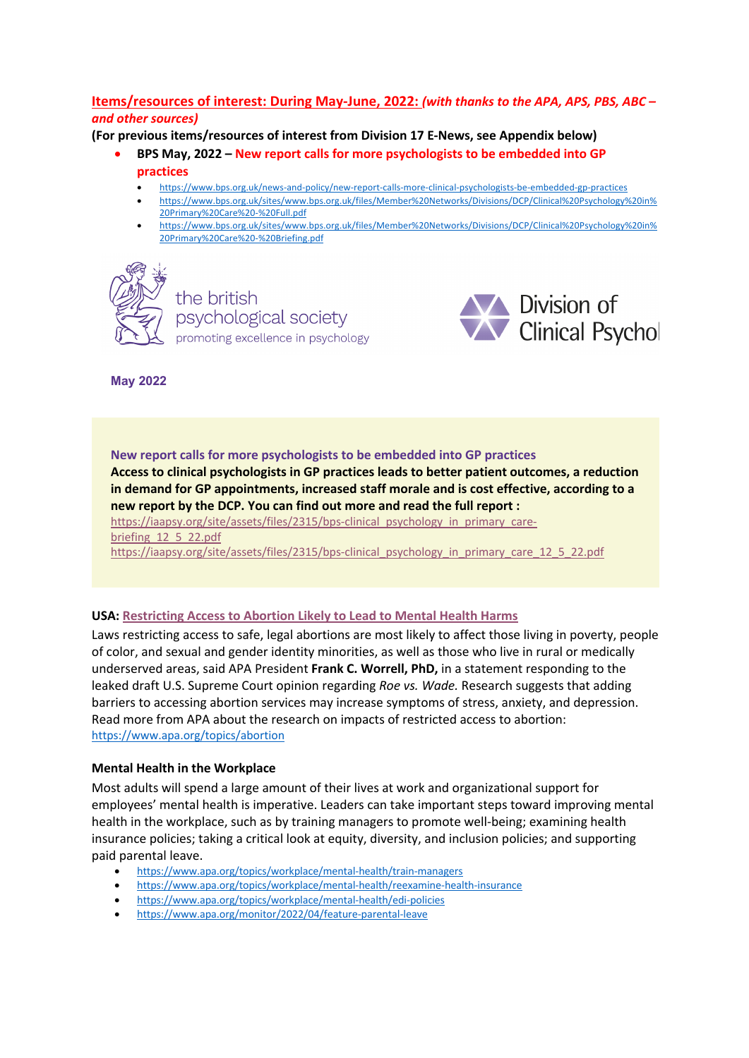# **Items/resources of interest: During May-June, 2022:** *(with thanks to the APA, APS, PBS, ABC – and other sources)*

**(For previous items/resources of interest from Division 17 E-News, see Appendix below)**

- **BPS May, 2022 – New report calls for more psychologists to be embedded into GP practices**
	- https://www.bps.org.uk/news-and-policy/new-report-calls-more-clinical-psychologists-be-embedded-gp-practices
	- https://www.bps.org.uk/sites/www.bps.org.uk/files/Member%20Networks/Divisions/DCP/Clinical%20Psychology%20in%
	- 20Primary%20Care%20-%20Full.pdf
	- https://www.bps.org.uk/sites/www.bps.org.uk/files/Member%20Networks/Divisions/DCP/Clinical%20Psychology%20in% 20Primary%20Care%20-%20Briefing.pdf



the british psychological society promoting excellence in psychology



**May 2022**

**New report calls for more psychologists to be embedded into GP practices Access to clinical psychologists in GP practices leads to better patient outcomes, a reduction in demand for GP appointments, increased staff morale and is cost effective, according to a new report by the DCP. You can find out more and read the full report :** https://iaapsy.org/site/assets/files/2315/bps-clinical\_psychology\_in\_primary\_carebriefing 12\_5\_22.pdf

https://iaapsy.org/site/assets/files/2315/bps-clinical\_psychology\_in\_primary\_care\_12\_5\_22.pdf

#### **USA: Restricting Access to Abortion Likely to Lead to Mental Health Harms**

Laws restricting access to safe, legal abortions are most likely to affect those living in poverty, people of color, and sexual and gender identity minorities, as well as those who live in rural or medically underserved areas, said APA President **Frank C. Worrell, PhD,** in a statement responding to the leaked draft U.S. Supreme Court opinion regarding *Roe vs. Wade.* Research suggests that adding barriers to accessing abortion services may increase symptoms of stress, anxiety, and depression. Read more from APA about the research on impacts of restricted access to abortion: https://www.apa.org/topics/abortion

#### **Mental Health in the Workplace**

Most adults will spend a large amount of their lives at work and organizational support for employees' mental health is imperative. Leaders can take important steps toward improving mental health in the workplace, such as by training managers to promote well-being; examining health insurance policies; taking a critical look at equity, diversity, and inclusion policies; and supporting paid parental leave.

- https://www.apa.org/topics/workplace/mental-health/train-managers
- https://www.apa.org/topics/workplace/mental-health/reexamine-health-insurance
- https://www.apa.org/topics/workplace/mental-health/edi-policies
- https://www.apa.org/monitor/2022/04/feature-parental-leave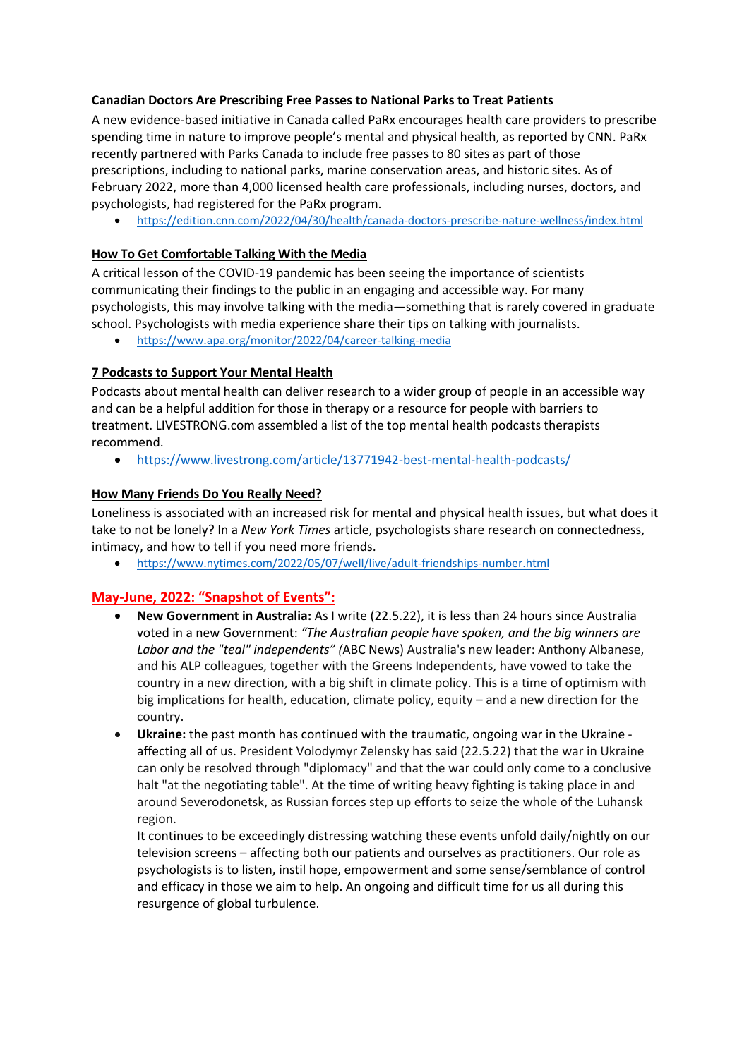### **Canadian Doctors Are Prescribing Free Passes to National Parks to Treat Patients**

A new evidence-based initiative in Canada called PaRx encourages health care providers to prescribe spending time in nature to improve people's mental and physical health, as reported by CNN. PaRx recently partnered with Parks Canada to include free passes to 80 sites as part of those prescriptions, including to national parks, marine conservation areas, and historic sites. As of February 2022, more than 4,000 licensed health care professionals, including nurses, doctors, and psychologists, had registered for the PaRx program.

• https://edition.cnn.com/2022/04/30/health/canada-doctors-prescribe-nature-wellness/index.html

# **How To Get Comfortable Talking With the Media**

A critical lesson of the COVID-19 pandemic has been seeing the importance of scientists communicating their findings to the public in an engaging and accessible way. For many psychologists, this may involve talking with the media—something that is rarely covered in graduate school. Psychologists with media experience share their tips on talking with journalists.

• https://www.apa.org/monitor/2022/04/career-talking-media

## **7 Podcasts to Support Your Mental Health**

Podcasts about mental health can deliver research to a wider group of people in an accessible way and can be a helpful addition for those in therapy or a resource for people with barriers to treatment. LIVESTRONG.com assembled a list of the top mental health podcasts therapists recommend.

• https://www.livestrong.com/article/13771942-best-mental-health-podcasts/

## **How Many Friends Do You Really Need?**

Loneliness is associated with an increased risk for mental and physical health issues, but what does it take to not be lonely? In a *New York Times* article, psychologists share research on connectedness, intimacy, and how to tell if you need more friends.

• https://www.nytimes.com/2022/05/07/well/live/adult-friendships-number.html

# **May-June, 2022: "Snapshot of Events":**

- **New Government in Australia:** As I write (22.5.22), it is less than 24 hours since Australia voted in a new Government: *"The Australian people have spoken, and the big winners are Labor and the "teal" independents" (*ABC News) Australia's new leader: Anthony Albanese, and his ALP colleagues, together with the Greens Independents, have vowed to take the country in a new direction, with a big shift in climate policy. This is a time of optimism with big implications for health, education, climate policy, equity – and a new direction for the country.
- **Ukraine:** the past month has continued with the traumatic, ongoing war in the Ukraine affecting all of us. President Volodymyr Zelensky has said (22.5.22) that the war in Ukraine can only be resolved through "diplomacy" and that the war could only come to a conclusive halt "at the negotiating table". At the time of writing heavy fighting is taking place in and around Severodonetsk, as Russian forces step up efforts to seize the whole of the Luhansk region.

It continues to be exceedingly distressing watching these events unfold daily/nightly on our television screens – affecting both our patients and ourselves as practitioners. Our role as psychologists is to listen, instil hope, empowerment and some sense/semblance of control and efficacy in those we aim to help. An ongoing and difficult time for us all during this resurgence of global turbulence.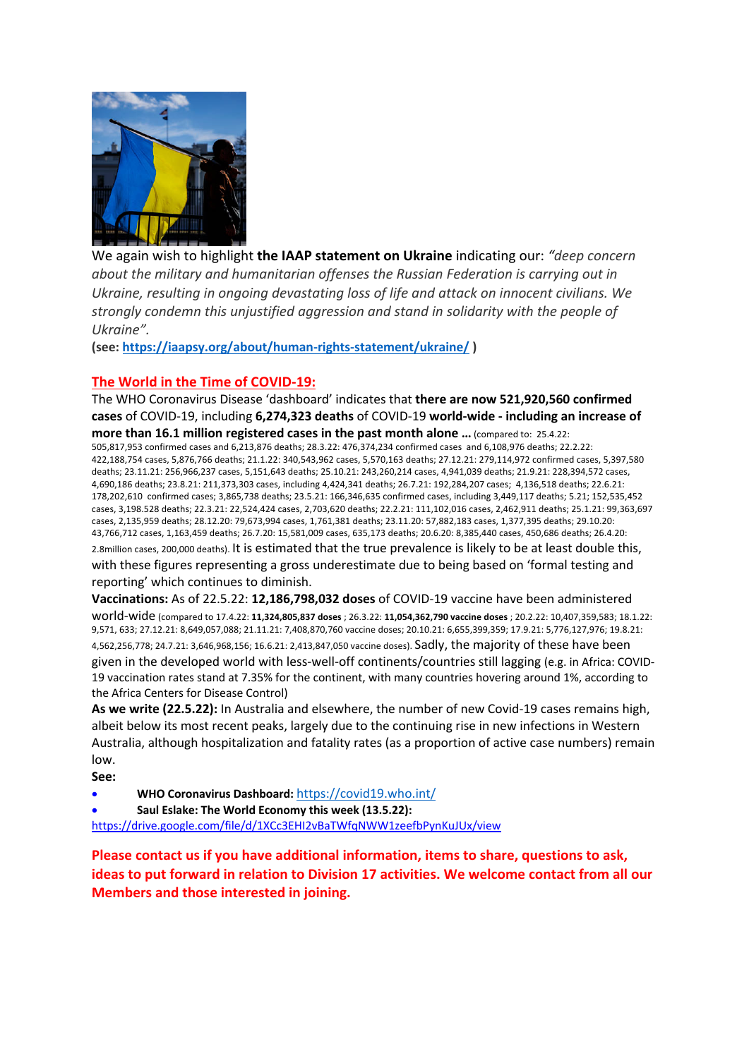

We again wish to highlight **the IAAP statement on Ukraine** indicating our: *"deep concern about the military and humanitarian offenses the Russian Federation is carrying out in Ukraine, resulting in ongoing devastating loss of life and attack on innocent civilians. We strongly condemn this unjustified aggression and stand in solidarity with the people of Ukraine".*

**(see: https://iaapsy.org/about/human-rights-statement/ukraine/ )**

## **The World in the Time of COVID-19:**

The WHO Coronavirus Disease 'dashboard' indicates that **there are now 521,920,560 confirmed cases** of COVID-19, including **6,274,323 deaths** of COVID-19 **world-wide - including an increase of more than 16.1 million registered cases in the past month alone …** (compared to: 25.4.22: 505,817,953 confirmed cases and 6,213,876 deaths; 28.3.22: 476,374,234 confirmed cases and 6,108,976 deaths; 22.2.22: 422,188,754 cases, 5,876,766 deaths; 21.1.22: 340,543,962 cases, 5,570,163 deaths; 27.12.21: 279,114,972 confirmed cases, 5,397,580

deaths; 23.11.21: 256,966,237 cases, 5,151,643 deaths; 25.10.21: 243,260,214 cases, 4,941,039 deaths; 21.9.21: 228,394,572 cases, 4,690,186 deaths; 23.8.21: 211,373,303 cases, including 4,424,341 deaths; 26.7.21: 192,284,207 cases; 4,136,518 deaths; 22.6.21: 178,202,610 confirmed cases; 3,865,738 deaths; 23.5.21: 166,346,635 confirmed cases, including 3,449,117 deaths; 5.21; 152,535,452 cases, 3,198.528 deaths; 22.3.21: 22,524,424 cases, 2,703,620 deaths; 22.2.21: 111,102,016 cases, 2,462,911 deaths; 25.1.21: 99,363,697 cases, 2,135,959 deaths; 28.12.20: 79,673,994 cases, 1,761,381 deaths; 23.11.20: 57,882,183 cases, 1,377,395 deaths; 29.10.20: 43,766,712 cases, 1,163,459 deaths; 26.7.20: 15,581,009 cases, 635,173 deaths; 20.6.20: 8,385,440 cases, 450,686 deaths; 26.4.20: 2.8million cases, 200,000 deaths). It is estimated that the true prevalence is likely to be at least double this, with these figures representing a gross underestimate due to being based on 'formal testing and reporting' which continues to diminish.

**Vaccinations:** As of 22.5.22: **12,186,798,032 doses** of COVID-19 vaccine have been administered world-wide (compared to 17.4.22: **11,324,805,837 doses** ; 26.3.22: **11,054,362,790 vaccine doses** ; 20.2.22: 10,407,359,583; 18.1.22: 9,571, 633; 27.12.21: 8,649,057,088; 21.11.21: 7,408,870,760 vaccine doses; 20.10.21: 6,655,399,359; 17.9.21: 5,776,127,976; 19.8.21: 4,562,256,778; 24.7.21: 3,646,968,156; 16.6.21: 2,413,847,050 vaccine doses). Sadly, the majority of these have been given in the developed world with less-well-off continents/countries still lagging (e.g. in Africa: COVID-19 vaccination rates stand at 7.35% for the continent, with many countries hovering around 1%, according to the Africa Centers for Disease Control)

**As we write (22.5.22):** In Australia and elsewhere, the number of new Covid-19 cases remains high, albeit below its most recent peaks, largely due to the continuing rise in new infections in Western Australia, although hospitalization and fatality rates (as a proportion of active case numbers) remain low.

**See:** 

- **WHO Coronavirus Dashboard:** https://covid19.who.int/
- **Saul Eslake: The World Economy this week (13.5.22):**

https://drive.google.com/file/d/1XCc3EHI2vBaTWfqNWW1zeefbPynKuJUx/view

**Please contact us if you have additional information, items to share, questions to ask, ideas to put forward in relation to Division 17 activities. We welcome contact from all our Members and those interested in joining.**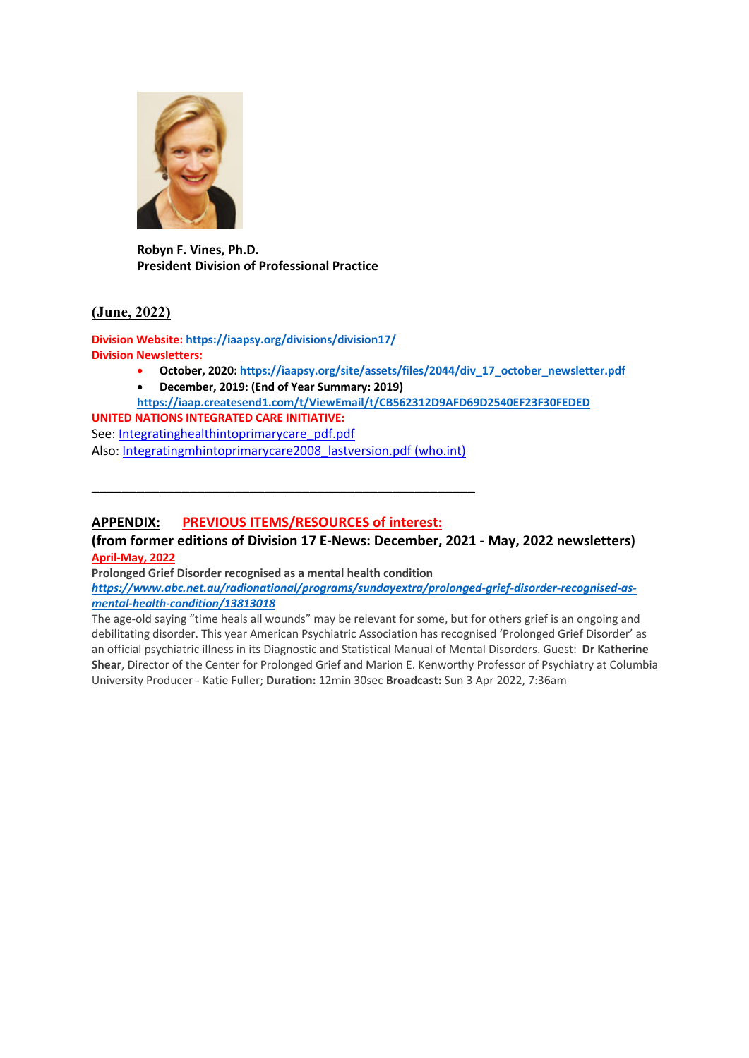

**Robyn F. Vines, Ph.D. President Division of Professional Practice**

## **(June, 2022)**

**Division Website: https://iaapsy.org/divisions/division17/ Division Newsletters:**

- **October, 2020: https://iaapsy.org/site/assets/files/2044/div\_17\_october\_newsletter.pdf**
- **December, 2019: (End of Year Summary: 2019)**
- **https://iaap.createsend1.com/t/ViewEmail/t/CB562312D9AFD69D2540EF23F30FEDED**

**UNITED NATIONS INTEGRATED CARE INITIATIVE:**  See: Integratinghealthintoprimarycare\_pdf.pdf Also: Integratingmhintoprimarycare2008\_lastversion.pdf (who.int)

**\_\_\_\_\_\_\_\_\_\_\_\_\_\_\_\_\_\_\_\_\_\_\_\_\_\_\_\_\_\_\_\_\_\_\_\_\_\_\_\_\_\_\_\_\_\_\_\_\_\_\_**

## **APPENDIX: PREVIOUS ITEMS/RESOURCES of interest:**

**(from former editions of Division 17 E-News: December, 2021 - May, 2022 newsletters) April-May, 2022**

**Prolonged Grief Disorder recognised as a mental health condition**

*https://www.abc.net.au/radionational/programs/sundayextra/prolonged-grief-disorder-recognised-asmental-health-condition/13813018*

The age-old saying "time heals all wounds" may be relevant for some, but for others grief is an ongoing and debilitating disorder. This year American Psychiatric Association has recognised 'Prolonged Grief Disorder' as an official psychiatric illness in its Diagnostic and Statistical Manual of Mental Disorders. Guest: **Dr Katherine Shear**, Director of the Center for Prolonged Grief and Marion E. Kenworthy Professor of Psychiatry at Columbia University Producer - Katie Fuller; **Duration:** 12min 30sec **Broadcast:** Sun 3 Apr 2022, 7:36am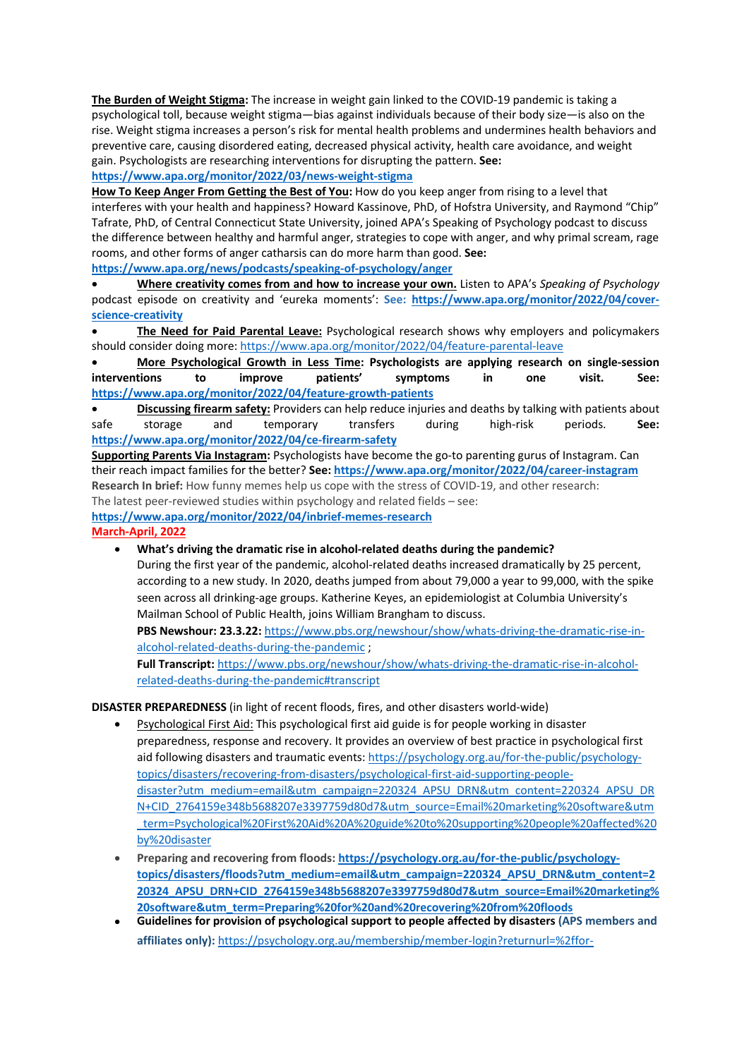**The Burden of Weight Stigma:** The increase in weight gain linked to the COVID-19 pandemic is taking a psychological toll, because weight stigma—bias against individuals because of their body size—is also on the rise. Weight stigma increases a person's risk for mental health problems and undermines health behaviors and preventive care, causing disordered eating, decreased physical activity, health care avoidance, and weight gain. Psychologists are researching interventions for disrupting the pattern. **See: https://www.apa.org/monitor/2022/03/news-weight-stigma**

**How To Keep Anger From Getting the Best of You:** How do you keep anger from rising to a level that interferes with your health and happiness? Howard Kassinove, PhD, of Hofstra University, and Raymond "Chip" Tafrate, PhD, of Central Connecticut State University, joined APA's Speaking of Psychology podcast to discuss the difference between healthy and harmful anger, strategies to cope with anger, and why primal scream, rage rooms, and other forms of anger catharsis can do more harm than good. **See: https://www.apa.org/news/podcasts/speaking-of-psychology/anger**

• **Where creativity comes from and how to increase your own.** Listen to APA's *Speaking of Psychology* podcast episode on creativity and 'eureka moments': **See: https://www.apa.org/monitor/2022/04/coverscience-creativity**

• **The Need for Paid Parental Leave:** Psychological research shows why employers and policymakers should consider doing more: https://www.apa.org/monitor/2022/04/feature-parental-leave

• **More Psychological Growth in Less Time: Psychologists are applying research on single-session interventions to improve patients' symptoms in one visit. See: https://www.apa.org/monitor/2022/04/feature-growth-patients**

• **Discussing firearm safety:** Providers can help reduce injuries and deaths by talking with patients about safe storage and temporary transfers during high-risk periods. **See: https://www.apa.org/monitor/2022/04/ce-firearm-safety**

**Supporting Parents Via Instagram:** Psychologists have become the go-to parenting gurus of Instagram. Can their reach impact families for the better? **See: https://www.apa.org/monitor/2022/04/career-instagram Research In brief:** How funny memes help us cope with the stress of COVID-19, and other research: The latest peer-reviewed studies within psychology and related fields – see:

**https://www.apa.org/monitor/2022/04/inbrief-memes-research**

**March-April, 2022**

• **What's driving the dramatic rise in alcohol-related deaths during the pandemic?**

During the first year of the pandemic, alcohol-related deaths increased dramatically by 25 percent, according to a new study. In 2020, deaths jumped from about 79,000 a year to 99,000, with the spike seen across all drinking-age groups. Katherine Keyes, an epidemiologist at Columbia University's Mailman School of Public Health, joins William Brangham to discuss.

**PBS Newshour: 23.3.22:** https://www.pbs.org/newshour/show/whats-driving-the-dramatic-rise-inalcohol-related-deaths-during-the-pandemic ;

**Full Transcript:** https://www.pbs.org/newshour/show/whats-driving-the-dramatic-rise-in-alcoholrelated-deaths-during-the-pandemic#transcript

**DISASTER PREPAREDNESS** (in light of recent floods, fires, and other disasters world-wide)

- Psychological First Aid: This psychological first aid guide is for people working in disaster preparedness, response and recovery. It provides an overview of best practice in psychological first aid following disasters and traumatic events: https://psychology.org.au/for-the-public/psychologytopics/disasters/recovering-from-disasters/psychological-first-aid-supporting-peopledisaster?utm\_medium=email&utm\_campaign=220324\_APSU\_DRN&utm\_content=220324\_APSU\_DR N+CID\_2764159e348b5688207e3397759d80d7&utm\_source=Email%20marketing%20software&utm \_term=Psychological%20First%20Aid%20A%20guide%20to%20supporting%20people%20affected%20 by%20disaster
- **Preparing and recovering from floods: https://psychology.org.au/for-the-public/psychologytopics/disasters/floods?utm\_medium=email&utm\_campaign=220324\_APSU\_DRN&utm\_content=2 20324\_APSU\_DRN+CID\_2764159e348b5688207e3397759d80d7&utm\_source=Email%20marketing% 20software&utm\_term=Preparing%20for%20and%20recovering%20from%20floods**
- **Guidelines for provision of psychological support to people affected by disasters (APS members and affiliates only):** https://psychology.org.au/membership/member-login?returnurl=%2ffor-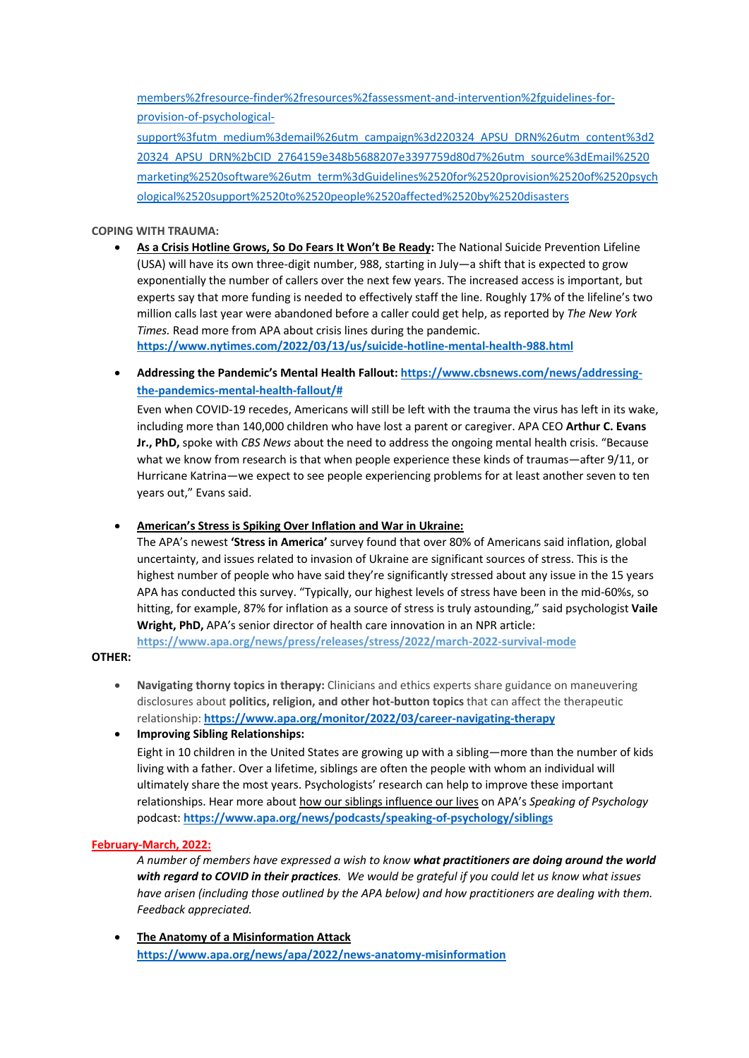members%2fresource-finder%2fresources%2fassessment-and-intervention%2fguidelines-forprovision-of-psychological-

support%3futm\_medium%3demail%26utm\_campaign%3d220324\_APSU\_DRN%26utm\_content%3d2 20324\_APSU\_DRN%2bCID\_2764159e348b5688207e3397759d80d7%26utm\_source%3dEmail%2520 marketing%2520software%26utm\_term%3dGuidelines%2520for%2520provision%2520of%2520psych ological%2520support%2520to%2520people%2520affected%2520by%2520disasters

#### **COPING WITH TRAUMA:**

• **As a Crisis Hotline Grows, So Do Fears It Won't Be Ready:** The National Suicide Prevention Lifeline (USA) will have its own three-digit number, 988, starting in July—a shift that is expected to grow exponentially the number of callers over the next few years. The increased access is important, but experts say that more funding is needed to effectively staff the line. Roughly 17% of the lifeline's two million calls last year were abandoned before a caller could get help, as reported by *The New York Times.* Read more from APA about crisis lines during the pandemic.

**https://www.nytimes.com/2022/03/13/us/suicide-hotline-mental-health-988.html**

• **Addressing the Pandemic's Mental Health Fallout: https://www.cbsnews.com/news/addressingthe-pandemics-mental-health-fallout/#**

Even when COVID-19 recedes, Americans will still be left with the trauma the virus has left in its wake, including more than 140,000 children who have lost a parent or caregiver. APA CEO **Arthur C. Evans Jr., PhD,** spoke with *CBS News* about the need to address the ongoing mental health crisis. "Because what we know from research is that when people experience these kinds of traumas—after 9/11, or Hurricane Katrina—we expect to see people experiencing problems for at least another seven to ten years out," Evans said.

• **American's Stress is Spiking Over Inflation and War in Ukraine:** 

The APA's newest **'Stress in America'** survey found that over 80% of Americans said inflation, global uncertainty, and issues related to invasion of Ukraine are significant sources of stress. This is the highest number of people who have said they're significantly stressed about any issue in the 15 years APA has conducted this survey. "Typically, our highest levels of stress have been in the mid-60%s, so hitting, for example, 87% for inflation as a source of stress is truly astounding," said psychologist **Vaile Wright, PhD,** APA's senior director of health care innovation in an NPR article:

**https://www.apa.org/news/press/releases/stress/2022/march-2022-survival-mode**

#### **OTHER:**

- **Navigating thorny topics in therapy:** Clinicians and ethics experts share guidance on maneuvering disclosures about **politics, religion, and other hot-button topics** that can affect the therapeutic relationship: **https://www.apa.org/monitor/2022/03/career-navigating-therapy**
- **Improving Sibling Relationships:**

Eight in 10 children in the United States are growing up with a sibling—more than the number of kids living with a father. Over a lifetime, siblings are often the people with whom an individual will ultimately share the most years. Psychologists' research can help to improve these important relationships. Hear more about how our siblings influence our lives on APA's *Speaking of Psychology* podcast: **https://www.apa.org/news/podcasts/speaking-of-psychology/siblings**

#### **February-March, 2022:**

*A number of members have expressed a wish to know what practitioners are doing around the world with regard to COVID in their practices. We would be grateful if you could let us know what issues have arisen (including those outlined by the APA below) and how practitioners are dealing with them. Feedback appreciated.*

• **The Anatomy of a Misinformation Attack https://www.apa.org/news/apa/2022/news-anatomy-misinformation**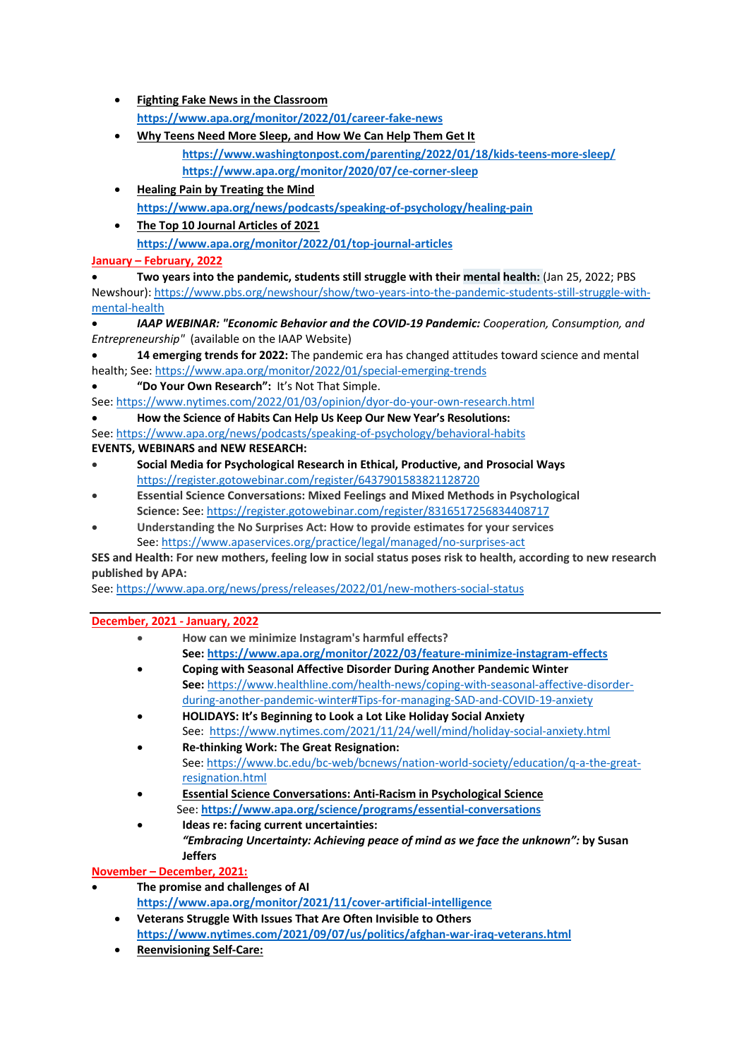- **Fighting Fake News in the Classroom https://www.apa.org/monitor/2022/01/career-fake-news**
- **Why Teens Need More Sleep, and How We Can Help Them Get It https://www.washingtonpost.com/parenting/2022/01/18/kids-teens-more-sleep/ https://www.apa.org/monitor/2020/07/ce-corner-sleep**
- **Healing Pain by Treating the Mind https://www.apa.org/news/podcasts/speaking-of-psychology/healing-pain**
- **The Top 10 Journal Articles of 2021 https://www.apa.org/monitor/2022/01/top-journal-articles**

## **January – February, 2022**

• **Two years into the pandemic, students still struggle with their mental health:** (Jan 25, 2022; PBS Newshour): https://www.pbs.org/newshour/show/two-years-into-the-pandemic-students-still-struggle-withmental-health

- *IAAP WEBINAR: "Economic Behavior and the COVID-19 Pandemic: Cooperation, Consumption, and Entrepreneurship"* (available on the IAAP Website)
- **14 emerging trends for 2022:** The pandemic era has changed attitudes toward science and mental health; See: https://www.apa.org/monitor/2022/01/special-emerging-trends
- **"Do Your Own Research":** It's Not That Simple.

See: https://www.nytimes.com/2022/01/03/opinion/dyor-do-your-own-research.html

• **How the Science of Habits Can Help Us Keep Our New Year's Resolutions:** 

See: https://www.apa.org/news/podcasts/speaking-of-psychology/behavioral-habits

# **EVENTS, WEBINARS and NEW RESEARCH:**

- **Social Media for Psychological Research in Ethical, Productive, and Prosocial Ways** https://register.gotowebinar.com/register/6437901583821128720
- **Essential Science Conversations: Mixed Feelings and Mixed Methods in Psychological Science:** See: https://register.gotowebinar.com/register/8316517256834408717
- **Understanding the No Surprises Act: How to provide estimates for your services** See: https://www.apaservices.org/practice/legal/managed/no-surprises-act

**SES and Health: For new mothers, feeling low in social status poses risk to health, according to new research published by APA:**

See: https://www.apa.org/news/press/releases/2022/01/new-mothers-social-status

# **December, 2021 - January, 2022**

- **How can we minimize Instagram's harmful effects? See: https://www.apa.org/monitor/2022/03/feature-minimize-instagram-effects**
- **Coping with Seasonal Affective Disorder During Another Pandemic Winter See:** https://www.healthline.com/health-news/coping-with-seasonal-affective-disorderduring-another-pandemic-winter#Tips-for-managing-SAD-and-COVID-19-anxiety
- **HOLIDAYS: It's Beginning to Look a Lot Like Holiday Social Anxiety** See: https://www.nytimes.com/2021/11/24/well/mind/holiday-social-anxiety.html
- **Re-thinking Work: The Great Resignation:**  See: https://www.bc.edu/bc-web/bcnews/nation-world-society/education/q-a-the-greatresignation.html
- **Essential Science Conversations: Anti-Racism in Psychological Science** See: **https://www.apa.org/science/programs/essential-conversations**
- **Ideas re: facing current uncertainties:**  *"Embracing Uncertainty: Achieving peace of mind as we face the unknown":* **by Susan Jeffers**

# **November – December, 2021:**

- **The promise and challenges of AI**
	- **https://www.apa.org/monitor/2021/11/cover-artificial-intelligence**
	- **Veterans Struggle With Issues That Are Often Invisible to Others https://www.nytimes.com/2021/09/07/us/politics/afghan-war-iraq-veterans.html**
	- **Reenvisioning Self-Care:**